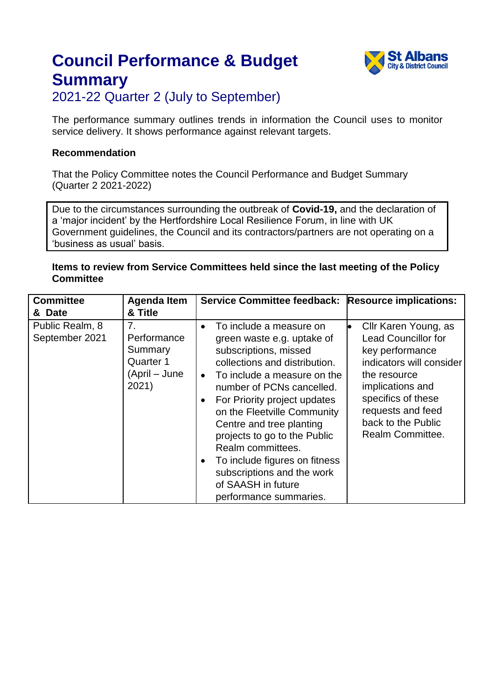

2021-22 Quarter 2 (July to September)

The performance summary outlines trends in information the Council uses to monitor service delivery. It shows performance against relevant targets.

#### **Recommendation**

That the Policy Committee notes the Council Performance and Budget Summary (Quarter 2 2021-2022)

Due to the circumstances surrounding the outbreak of **Covid-19,** and the declaration of a 'major incident' by the Hertfordshire Local Resilience Forum, in line with UK Government guidelines, the Council and its contractors/partners are not operating on a 'business as usual' basis.

#### **Items to review from Service Committees held since the last meeting of the Policy Committee**

| <b>Committee</b>                  | <b>Agenda Item</b>                                                              | Service Committee feedback: Resource implications:                                                                                                                                                                                                                                                                                                                                                                                         |                                                                                                                                                                                                                                 |
|-----------------------------------|---------------------------------------------------------------------------------|--------------------------------------------------------------------------------------------------------------------------------------------------------------------------------------------------------------------------------------------------------------------------------------------------------------------------------------------------------------------------------------------------------------------------------------------|---------------------------------------------------------------------------------------------------------------------------------------------------------------------------------------------------------------------------------|
| & Date                            | & Title                                                                         |                                                                                                                                                                                                                                                                                                                                                                                                                                            |                                                                                                                                                                                                                                 |
| Public Realm, 8<br>September 2021 | 7 <sub>1</sub><br>Performance<br>Summary<br>Quarter 1<br>(April – June<br>2021) | To include a measure on<br>green waste e.g. uptake of<br>subscriptions, missed<br>collections and distribution.<br>To include a measure on the<br>number of PCNs cancelled.<br>For Priority project updates<br>on the Fleetville Community<br>Centre and tree planting<br>projects to go to the Public<br>Realm committees.<br>To include figures on fitness<br>subscriptions and the work<br>of SAASH in future<br>performance summaries. | Cllr Karen Young, as<br>ю<br><b>Lead Councillor for</b><br>key performance<br>indicators will consider<br>the resource<br>implications and<br>specifics of these<br>requests and feed<br>back to the Public<br>Realm Committee. |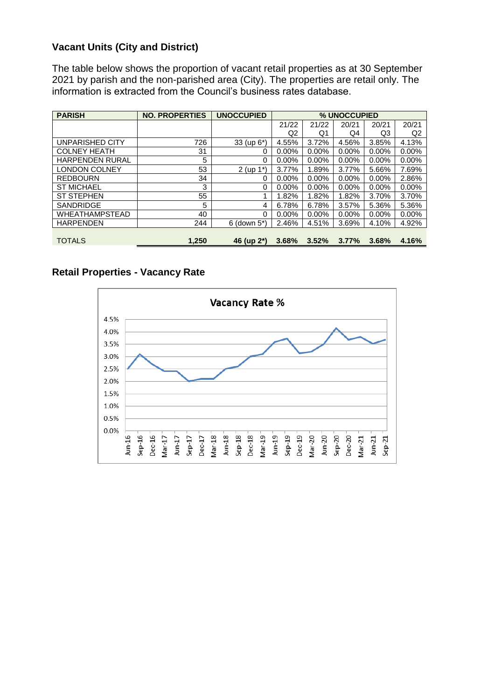#### **Vacant Units (City and District)**

The table below shows the proportion of vacant retail properties as at 30 September 2021 by parish and the non-parished area (City). The properties are retail only. The information is extracted from the Council's business rates database.

| <b>PARISH</b>          | <b>NO. PROPERTIES</b> | <b>UNOCCUPIED</b>        |          |          | % UNOCCUPIED |                |                |
|------------------------|-----------------------|--------------------------|----------|----------|--------------|----------------|----------------|
|                        |                       |                          | 21/22    | 21/22    | 20/21        | 20/21          | 20/21          |
|                        |                       |                          | Q2       | Q1       | Q4           | Q <sub>3</sub> | Q <sub>2</sub> |
| UNPARISHED CITY        | 726                   | 33 (up 6*)               | 4.55%    | 3.72%    | 4.56%        | 3.85%          | 4.13%          |
| <b>COLNEY HEATH</b>    | 31                    | 0                        | 0.00%    | $0.00\%$ | $0.00\%$     | 0.00%          | 0.00%          |
| <b>HARPENDEN RURAL</b> | 5                     | 0                        | $0.00\%$ | $0.00\%$ | $0.00\%$     | $0.00\%$       | 0.00%          |
| <b>LONDON COLNEY</b>   | 53                    | $2$ (up 1 <sup>*</sup> ) | 3.77%    | 1.89%    | 3.77%        | 5.66%          | 7.69%          |
| <b>REDBOURN</b>        | 34                    | 0                        | $0.00\%$ | $0.00\%$ | $0.00\%$     | $0.00\%$       | 2.86%          |
| <b>ST MICHAEL</b>      | 3                     | 0                        | 0.00%    | $0.00\%$ | $0.00\%$     | 0.00%          | 0.00%          |
| <b>ST STEPHEN</b>      | 55                    | 1                        | 1.82%    | 1.82%    | 1.82%        | 3.70%          | 3.70%          |
| <b>SANDRIDGE</b>       | 5                     | 4                        | 6.78%    | 6.78%    | 3.57%        | 5.36%          | 5.36%          |
| <b>WHEATHAMPSTEAD</b>  | 40                    | 0                        | 0.00%    | $0.00\%$ | $0.00\%$     | 0.00%          | 0.00%          |
| <b>HARPENDEN</b>       | 244                   | $6$ (down $5^*$ )        | 2.46%    | 4.51%    | 3.69%        | 4.10%          | 4.92%          |
|                        |                       |                          |          |          |              |                |                |
| <b>TOTALS</b>          | 1,250                 | 46 (up 2 <sup>*</sup> )  | 3.68%    | 3.52%    | 3.77%        | 3.68%          | 4.16%          |

#### **Retail Properties - Vacancy Rate**

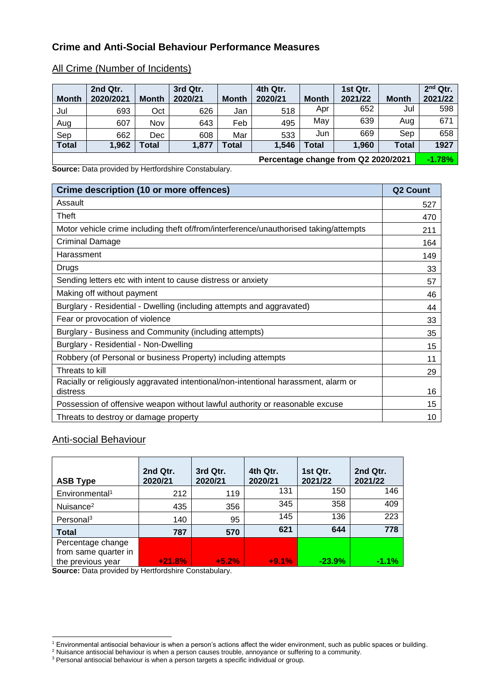#### **Crime and Anti-Social Behaviour Performance Measures**

#### All Crime (Number of Incidents)

| <b>Month</b> | 2nd Qtr.<br>2020/2021 | <b>Month</b> | 3rd Qtr.<br>2020/21 | <b>Month</b> | 4th Qtr.<br>2020/21 | <b>Month</b> | 1st Qtr.<br>2021/22 | <b>Month</b> | 2 <sup>nd</sup> Qtr.<br>2021/22 |
|--------------|-----------------------|--------------|---------------------|--------------|---------------------|--------------|---------------------|--------------|---------------------------------|
| Jul          | 693                   | Oct          | 626                 | Jan          | 518                 | Apr          | 652                 | Jul          | 598                             |
| Aug          | 607                   | Nov          | 643                 | Feb          | 495                 | May          | 639                 | Aug          | 671                             |
| Sep          | 662                   | Dec          | 608                 | Mar          | 533                 | Jun          | 669                 | Sep          | 658                             |
| <b>Total</b> | 1,962                 | Total        | 1,877               | <b>Total</b> | 1,546               | <b>Total</b> | 1,960               | <b>Total</b> | 1927                            |
|              |                       |              |                     |              |                     |              |                     |              | .                               |

**Source:** Data provided by Hertfordshire Constabulary.

**Percentage change from Q2 2020/2021 -1.78%**

| Crime description (10 or more offences)                                               | <b>Q2 Count</b> |  |  |  |
|---------------------------------------------------------------------------------------|-----------------|--|--|--|
| Assault                                                                               | 527             |  |  |  |
| Theft                                                                                 | 470             |  |  |  |
| Motor vehicle crime including theft of/from/interference/unauthorised taking/attempts | 211             |  |  |  |
| Criminal Damage                                                                       | 164             |  |  |  |
| Harassment                                                                            | 149             |  |  |  |
| Drugs                                                                                 | 33              |  |  |  |
| Sending letters etc with intent to cause distress or anxiety                          | 57              |  |  |  |
| Making off without payment                                                            |                 |  |  |  |
| Burglary - Residential - Dwelling (including attempts and aggravated)                 |                 |  |  |  |
| Fear or provocation of violence                                                       |                 |  |  |  |
| Burglary - Business and Community (including attempts)                                |                 |  |  |  |
| Burglary - Residential - Non-Dwelling                                                 | 15              |  |  |  |
| Robbery (of Personal or business Property) including attempts                         | 11              |  |  |  |
| Threats to kill                                                                       | 29              |  |  |  |
| Racially or religiously aggravated intentional/non-intentional harassment, alarm or   |                 |  |  |  |
| distress                                                                              | 16              |  |  |  |
| Possession of offensive weapon without lawful authority or reasonable excuse          | 15              |  |  |  |
| Threats to destroy or damage property                                                 | 10              |  |  |  |

#### Anti-social Behaviour

| <b>ASB Type</b>            | 2nd Qtr.<br>2020/21 | 3rd Qtr.<br>2020/21 | 4th Qtr.<br>2020/21 | 1st Qtr.<br>2021/22 | 2nd Qtr.<br>2021/22 |
|----------------------------|---------------------|---------------------|---------------------|---------------------|---------------------|
| Environmental <sup>1</sup> | 212                 | 119                 | 131                 | 150                 | 146                 |
| Nuisance <sup>2</sup>      | 435                 | 356                 | 345                 | 358                 | 409                 |
| Personal <sup>3</sup>      | 140                 | 95                  | 145                 | 136                 | 223                 |
| <b>Total</b>               | 787                 | 570                 | 621                 | 644                 | 778                 |
| Percentage change          |                     |                     |                     |                     |                     |
| from same quarter in       |                     |                     |                     |                     |                     |
| the previous year          | $+21.8%$            | $+5.2%$             | $+9.1%$             | $-23.9%$            | $-1.1\%$            |

**Source:** Data provided by Hertfordshire Constabulary.

<sup>-</sup> $1$  Environmental antisocial behaviour is when a person's actions affect the wider environment, such as public spaces or building.

 $2$  Nuisance antisocial behaviour is when a person causes trouble, annoyance or suffering to a community.

 $3$  Personal antisocial behaviour is when a person targets a specific individual or group.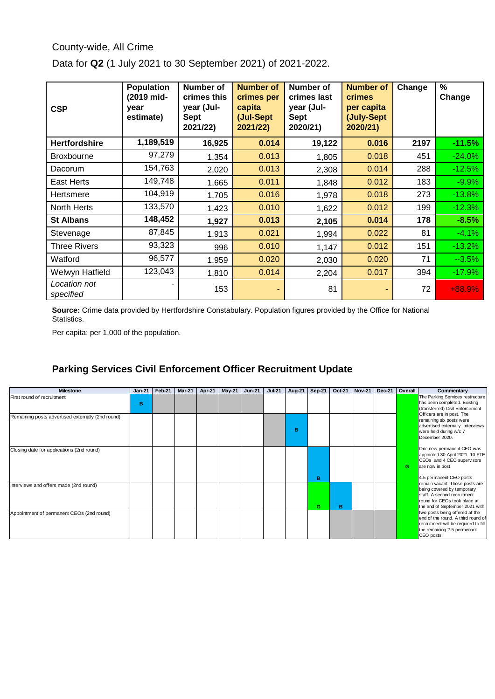#### County-wide, All Crime

| <b>CSP</b>                | <b>Population</b><br>(2019 mid-<br>year<br>estimate) | <b>Number of</b><br>crimes this<br>year (Jul-<br><b>Sept</b><br>2021/22) | <b>Number of</b><br>crimes per<br>capita<br>(Jul-Sept<br>2021/22) | Number of<br>crimes last<br>year (Jul-<br><b>Sept</b><br>2020/21) | <b>Number of</b><br><b>crimes</b><br>per capita<br>(July-Sept)<br>2020/21) | Change | $\frac{0}{0}$<br>Change |
|---------------------------|------------------------------------------------------|--------------------------------------------------------------------------|-------------------------------------------------------------------|-------------------------------------------------------------------|----------------------------------------------------------------------------|--------|-------------------------|
| <b>Hertfordshire</b>      | 1,189,519                                            | 16,925                                                                   | 0.014                                                             | 19,122                                                            | 0.016                                                                      | 2197   | $-11.5%$                |
| <b>Broxbourne</b>         | 97,279                                               | 1,354                                                                    | 0.013                                                             | 1,805                                                             | 0.018                                                                      | 451    | $-24.0%$                |
| Dacorum                   | 154,763                                              | 2,020                                                                    | 0.013                                                             | 2,308                                                             | 0.014                                                                      | 288    | $-12.5%$                |
| <b>East Herts</b>         | 149,748                                              | 1,665                                                                    | 0.011                                                             | 1,848                                                             | 0.012                                                                      | 183    | $-9.9%$                 |
| Hertsmere                 | 104,919                                              | 1,705                                                                    | 0.016                                                             | 1,978                                                             | 0.018                                                                      | 273    | $-13.8%$                |
| North Herts               | 133,570                                              | 1,423                                                                    | 0.010                                                             | 1,622                                                             | 0.012                                                                      | 199    | $-12.3%$                |
| <b>St Albans</b>          | 148,452                                              | 1,927                                                                    | 0.013                                                             | 2,105                                                             | 0.014                                                                      | 178    | $-8.5%$                 |
| Stevenage                 | 87,845                                               | 1,913                                                                    | 0.021                                                             | 1,994                                                             | 0.022                                                                      | 81     | $-4.1\%$                |
| <b>Three Rivers</b>       | 93,323                                               | 996                                                                      | 0.010                                                             | 1,147                                                             | 0.012                                                                      | 151    | $-13.2%$                |
| Watford                   | 96,577                                               | 1,959                                                                    | 0.020                                                             | 2,030                                                             | 0.020                                                                      | 71     | $-3.5%$                 |
| Welwyn Hatfield           | 123,043                                              | 1,810                                                                    | 0.014                                                             | 2,204                                                             | 0.017                                                                      | 394    | $-17.9%$                |
| Location not<br>specified |                                                      | 153                                                                      |                                                                   | 81                                                                |                                                                            | 72     | $+88.9%$                |

Data for **Q2** (1 July 2021 to 30 September 2021) of 2021-2022.

**Source:** Crime data provided by Hertfordshire Constabulary. Population figures provided by the Office for National Statistics.

Per capita: per 1,000 of the population.

#### **Parking Services Civil Enforcement Officer Recruitment Update**

| <b>Milestone</b>                                  | Jan-21 | Feb-21 | Mar-21 $ $ | Apr-21   May-21 | <b>Jun-21</b> | <b>Jul-21</b> | Aug-21 | Sep-21 | Oct-21 | <b>Nov-21</b> | <b>Dec-21</b> | Overall | Commentary                                                                                                                                                                                                                                                                                                                                            |
|---------------------------------------------------|--------|--------|------------|-----------------|---------------|---------------|--------|--------|--------|---------------|---------------|---------|-------------------------------------------------------------------------------------------------------------------------------------------------------------------------------------------------------------------------------------------------------------------------------------------------------------------------------------------------------|
| First round of recruitment                        | B      |        |            |                 |               |               |        |        |        |               |               |         | The Parking Services restructure<br>has been completed. Existing<br>(transferred) Civil Enforcement                                                                                                                                                                                                                                                   |
| Remaining posts advertised externally (2nd round) |        |        |            |                 |               |               | R      |        |        |               |               |         | Officers are in post. The<br>remaining six posts were<br>advertised externally. Interviews<br>were held during w/c 7<br>December 2020.                                                                                                                                                                                                                |
| Closing date for applications (2nd round)         |        |        |            |                 |               |               |        |        |        |               |               | G       | One new permanent CEO was<br>appointed 30 April 2021. 10 FTE<br>CEOs and 4 CEO supervisors<br>are now in post.                                                                                                                                                                                                                                        |
| Interviews and offers made (2nd round)            |        |        |            |                 |               |               |        | в<br>G | в      |               |               |         | 4.5 permanent CEO posts<br>remain vacant. Those posts are<br>being covered by temporary<br>staff. A second recruitment<br>round for CEOs took place at<br>the end of September 2021 with<br>two posts being offered at the<br>end of the round. A third round of<br>recruitment will be required to fill<br>the remaining 2.5 permenant<br>CEO posts. |
| Appointment of permanent CEOs (2nd round)         |        |        |            |                 |               |               |        |        |        |               |               |         |                                                                                                                                                                                                                                                                                                                                                       |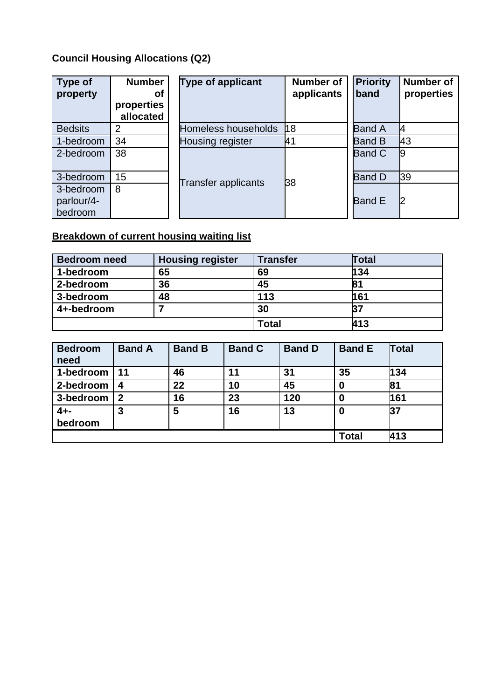### **Council Housing Allocations (Q2)**

| Type of<br>property                | <b>Number</b><br>Οf<br>properties<br>allocated | <b>Type of applicant</b>   | <b>Number of</b><br>applicants | <b>Priority</b><br>band | <b>Number of</b><br>properties |
|------------------------------------|------------------------------------------------|----------------------------|--------------------------------|-------------------------|--------------------------------|
| <b>Bedsits</b>                     | 2                                              | Homeless households        | 18                             | <b>Band A</b>           | <b>I</b>                       |
| 1-bedroom                          | 34                                             | Housing register           | 41                             | <b>Band B</b>           | 43                             |
| 2-bedroom                          | 38                                             |                            |                                | <b>Band C</b>           | $\boldsymbol{g}$               |
| 3-bedroom                          | 15                                             |                            | 38                             | <b>Band D</b>           | <b>39</b>                      |
| 3-bedroom<br>parlour/4-<br>bedroom | 8                                              | <b>Transfer applicants</b> |                                | <b>Band E</b>           | 2                              |

## **Breakdown of current housing waiting list**

| <b>Bedroom need</b> | <b>Housing register</b> | <b>Transfer</b> | <b>Fotal</b> |
|---------------------|-------------------------|-----------------|--------------|
| 1-bedroom           | 65                      | 69              | 134          |
| 2-bedroom           | 36                      | 45              | 81           |
| 3-bedroom           | 48                      | 113             | 161          |
| 4+-bedroom          |                         | 30              | 37           |
|                     |                         | Total           | 413          |

| <b>Bedroom</b><br>need | <b>Band A</b> | <b>Band B</b> | <b>Band C</b> | <b>Band D</b> | <b>Band E</b> | Total |
|------------------------|---------------|---------------|---------------|---------------|---------------|-------|
| 1-bedroom              | 11            | 46            | 11            | 31            | 35            | 134   |
| 2-bedroom              | 4             | 22            | 10            | 45            | 0             | 81    |
| 3-bedroom              | $\mathbf 2$   | 16            | 23            | 120           | 0             | 161   |
| $4 + -$<br>bedroom     | 3             | 5             | 16            | 13            | 0             | 37    |
|                        |               |               |               |               | <b>Total</b>  | 413   |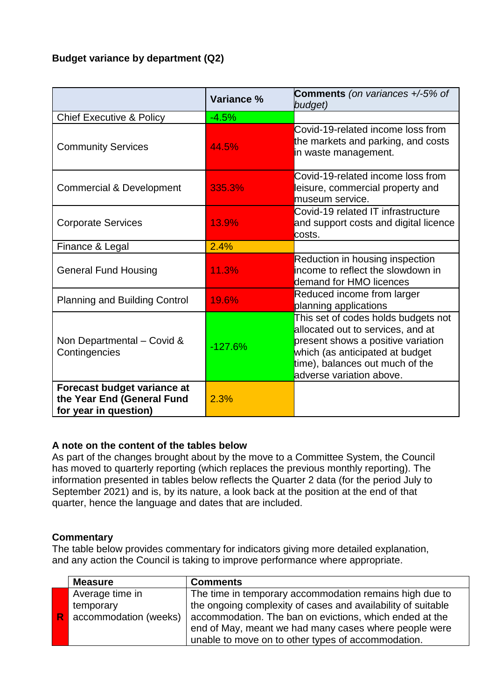#### **Budget variance by department (Q2)**

|                                                                                    | Variance % | <b>Comments</b> (on variances +/-5% of<br>budget)                                                                                                                                                                |
|------------------------------------------------------------------------------------|------------|------------------------------------------------------------------------------------------------------------------------------------------------------------------------------------------------------------------|
| <b>Chief Executive &amp; Policy</b>                                                | $-4.5%$    |                                                                                                                                                                                                                  |
| <b>Community Services</b>                                                          | 44.5%      | Covid-19-related income loss from<br>the markets and parking, and costs<br>in waste management.                                                                                                                  |
| <b>Commercial &amp; Development</b>                                                | 335.3%     | Covid-19-related income loss from<br>leisure, commercial property and<br>museum service.                                                                                                                         |
| <b>Corporate Services</b>                                                          | 13.9%      | Covid-19 related IT infrastructure<br>and support costs and digital licence<br>costs.                                                                                                                            |
| Finance & Legal                                                                    | 2.4%       |                                                                                                                                                                                                                  |
| <b>General Fund Housing</b>                                                        | 11.3%      | Reduction in housing inspection<br>income to reflect the slowdown in<br>demand for HMO licences                                                                                                                  |
| <b>Planning and Building Control</b>                                               | 19.6%      | Reduced income from larger<br>planning applications                                                                                                                                                              |
| Non Departmental - Covid &<br>Contingencies                                        | $-127.6%$  | This set of codes holds budgets not<br>allocated out to services, and at<br>present shows a positive variation<br>which (as anticipated at budget<br>time), balances out much of the<br>adverse variation above. |
| Forecast budget variance at<br>the Year End (General Fund<br>for year in question) | 2.3%       |                                                                                                                                                                                                                  |

#### **A note on the content of the tables below**

As part of the changes brought about by the move to a Committee System, the Council has moved to quarterly reporting (which replaces the previous monthly reporting). The information presented in tables below reflects the Quarter 2 data (for the period July to September 2021) and is, by its nature, a look back at the position at the end of that quarter, hence the language and dates that are included.

#### **Commentary**

The table below provides commentary for indicators giving more detailed explanation, and any action the Council is taking to improve performance where appropriate.

|                         | <b>Measure</b>        | <b>Comments</b>                                              |
|-------------------------|-----------------------|--------------------------------------------------------------|
|                         | Average time in       | The time in temporary accommodation remains high due to      |
|                         | temporary             | the ongoing complexity of cases and availability of suitable |
| $\overline{\mathsf{R}}$ | accommodation (weeks) | accommodation. The ban on evictions, which ended at the      |
|                         |                       | end of May, meant we had many cases where people were        |
|                         |                       | unable to move on to other types of accommodation.           |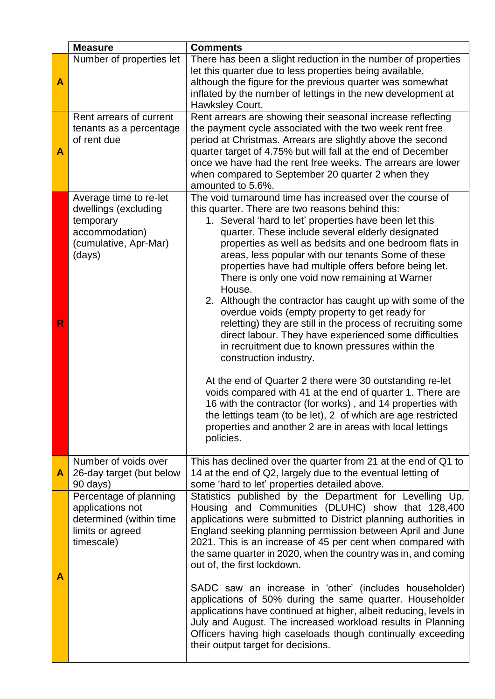|   | <b>Measure</b>                                                                                                   | <b>Comments</b>                                                                                                                                                                                                                                                                                                                                                                                                                                                                                                                                                                                                                                                                                                                                                                                                                                                                                                                                                                                                                                                                                                          |
|---|------------------------------------------------------------------------------------------------------------------|--------------------------------------------------------------------------------------------------------------------------------------------------------------------------------------------------------------------------------------------------------------------------------------------------------------------------------------------------------------------------------------------------------------------------------------------------------------------------------------------------------------------------------------------------------------------------------------------------------------------------------------------------------------------------------------------------------------------------------------------------------------------------------------------------------------------------------------------------------------------------------------------------------------------------------------------------------------------------------------------------------------------------------------------------------------------------------------------------------------------------|
| A | Number of properties let                                                                                         | There has been a slight reduction in the number of properties<br>let this quarter due to less properties being available,<br>although the figure for the previous quarter was somewhat<br>inflated by the number of lettings in the new development at<br>Hawksley Court.                                                                                                                                                                                                                                                                                                                                                                                                                                                                                                                                                                                                                                                                                                                                                                                                                                                |
| A | Rent arrears of current<br>tenants as a percentage<br>of rent due                                                | Rent arrears are showing their seasonal increase reflecting<br>the payment cycle associated with the two week rent free<br>period at Christmas. Arrears are slightly above the second<br>quarter target of 4.75% but will fall at the end of December<br>once we have had the rent free weeks. The arrears are lower<br>when compared to September 20 quarter 2 when they<br>amounted to 5.6%.                                                                                                                                                                                                                                                                                                                                                                                                                                                                                                                                                                                                                                                                                                                           |
| R | Average time to re-let<br>dwellings (excluding<br>temporary<br>accommodation)<br>(cumulative, Apr-Mar)<br>(days) | The void turnaround time has increased over the course of<br>this quarter. There are two reasons behind this:<br>1. Several 'hard to let' properties have been let this<br>quarter. These include several elderly designated<br>properties as well as bedsits and one bedroom flats in<br>areas, less popular with our tenants Some of these<br>properties have had multiple offers before being let.<br>There is only one void now remaining at Warner<br>House.<br>2. Although the contractor has caught up with some of the<br>overdue voids (empty property to get ready for<br>reletting) they are still in the process of recruiting some<br>direct labour. They have experienced some difficulties<br>in recruitment due to known pressures within the<br>construction industry.<br>At the end of Quarter 2 there were 30 outstanding re-let<br>voids compared with 41 at the end of quarter 1. There are<br>16 with the contractor (for works), and 14 properties with<br>the lettings team (to be let), 2 of which are age restricted<br>properties and another 2 are in areas with local lettings<br>policies. |
| A | Number of voids over<br>26-day target (but below<br>90 days)                                                     | This has declined over the quarter from 21 at the end of Q1 to<br>14 at the end of Q2, largely due to the eventual letting of<br>some 'hard to let' properties detailed above.                                                                                                                                                                                                                                                                                                                                                                                                                                                                                                                                                                                                                                                                                                                                                                                                                                                                                                                                           |
| Α | Percentage of planning<br>applications not<br>determined (within time<br>limits or agreed<br>timescale)          | Statistics published by the Department for Levelling Up,<br>Housing and Communities (DLUHC) show that 128,400<br>applications were submitted to District planning authorities in<br>England seeking planning permission between April and June<br>2021. This is an increase of 45 per cent when compared with<br>the same quarter in 2020, when the country was in, and coming<br>out of, the first lockdown.<br>SADC saw an increase in 'other' (includes householder)<br>applications of 50% during the same quarter. Householder<br>applications have continued at higher, albeit reducing, levels in<br>July and August. The increased workload results in Planning<br>Officers having high caseloads though continually exceeding<br>their output target for decisions.                                                                                                                                                                                                                                                                                                                                             |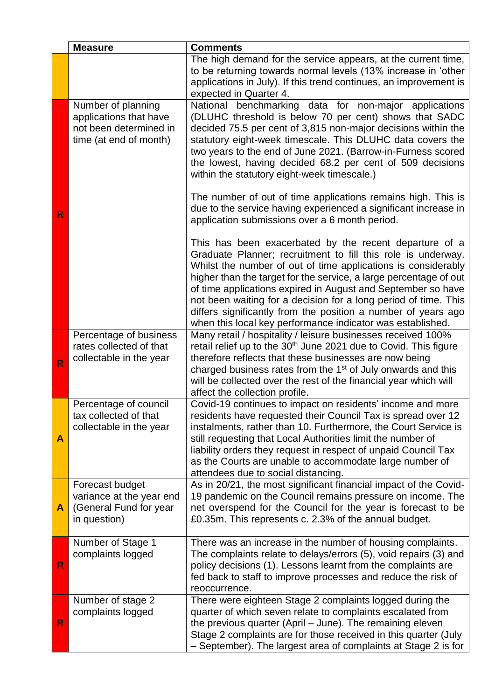|              | <b>Measure</b>                                                                                   | <b>Comments</b>                                                                                                                                                                                                                                                                                                                                                                                                                                                                                                                |
|--------------|--------------------------------------------------------------------------------------------------|--------------------------------------------------------------------------------------------------------------------------------------------------------------------------------------------------------------------------------------------------------------------------------------------------------------------------------------------------------------------------------------------------------------------------------------------------------------------------------------------------------------------------------|
|              |                                                                                                  | The high demand for the service appears, at the current time,<br>to be returning towards normal levels (13% increase in 'other<br>applications in July). If this trend continues, an improvement is<br>expected in Quarter 4.                                                                                                                                                                                                                                                                                                  |
|              | Number of planning<br>applications that have<br>not been determined in<br>time (at end of month) | National benchmarking data for non-major applications<br>(DLUHC threshold is below 70 per cent) shows that SADC<br>decided 75.5 per cent of 3,815 non-major decisions within the<br>statutory eight-week timescale. This DLUHC data covers the<br>two years to the end of June 2021. (Barrow-in-Furness scored<br>the lowest, having decided 68.2 per cent of 509 decisions<br>within the statutory eight-week timescale.)<br>The number of out of time applications remains high. This is                                     |
| R            |                                                                                                  | due to the service having experienced a significant increase in<br>application submissions over a 6 month period.                                                                                                                                                                                                                                                                                                                                                                                                              |
|              |                                                                                                  | This has been exacerbated by the recent departure of a<br>Graduate Planner; recruitment to fill this role is underway.<br>Whilst the number of out of time applications is considerably<br>higher than the target for the service, a large percentage of out<br>of time applications expired in August and September so have<br>not been waiting for a decision for a long period of time. This<br>differs significantly from the position a number of years ago<br>when this local key performance indicator was established. |
| R            | Percentage of business<br>rates collected of that<br>collectable in the year                     | Many retail / hospitality / leisure businesses received 100%<br>retail relief up to the 30 <sup>th</sup> June 2021 due to Covid. This figure<br>therefore reflects that these businesses are now being<br>charged business rates from the 1 <sup>st</sup> of July onwards and this<br>will be collected over the rest of the financial year which will<br>affect the collection profile.                                                                                                                                       |
| A            | Percentage of council<br>tax collected of that<br>collectable in the year                        | Covid-19 continues to impact on residents' income and more<br>residents have requested their Council Tax is spread over 12<br>instalments, rather than 10. Furthermore, the Court Service is<br>still requesting that Local Authorities limit the number of<br>liability orders they request in respect of unpaid Council Tax<br>as the Courts are unable to accommodate large number of<br>attendees due to social distancing.                                                                                                |
| A            | Forecast budget<br>variance at the year end<br>(General Fund for year<br>in question)            | As in 20/21, the most significant financial impact of the Covid-<br>19 pandemic on the Council remains pressure on income. The<br>net overspend for the Council for the year is forecast to be<br>£0.35m. This represents c. 2.3% of the annual budget.                                                                                                                                                                                                                                                                        |
| R            | Number of Stage 1<br>complaints logged                                                           | There was an increase in the number of housing complaints.<br>The complaints relate to delays/errors (5), void repairs (3) and<br>policy decisions (1). Lessons learnt from the complaints are<br>fed back to staff to improve processes and reduce the risk of<br>reoccurrence.                                                                                                                                                                                                                                               |
| $\mathsf{R}$ | Number of stage 2<br>complaints logged                                                           | There were eighteen Stage 2 complaints logged during the<br>quarter of which seven relate to complaints escalated from<br>the previous quarter (April - June). The remaining eleven<br>Stage 2 complaints are for those received in this quarter (July<br>- September). The largest area of complaints at Stage 2 is for                                                                                                                                                                                                       |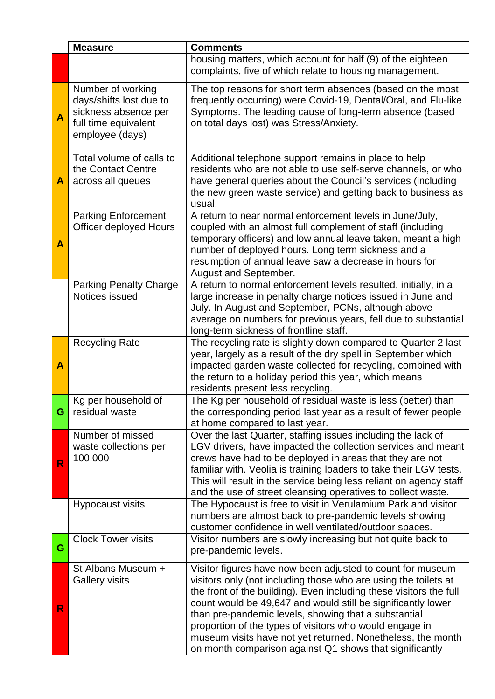|                | <b>Measure</b>                                                                                                  | <b>Comments</b>                                                                                                                                                                                                                                                                                                                                                                                                                                                                                                  |
|----------------|-----------------------------------------------------------------------------------------------------------------|------------------------------------------------------------------------------------------------------------------------------------------------------------------------------------------------------------------------------------------------------------------------------------------------------------------------------------------------------------------------------------------------------------------------------------------------------------------------------------------------------------------|
|                |                                                                                                                 | housing matters, which account for half (9) of the eighteen<br>complaints, five of which relate to housing management.                                                                                                                                                                                                                                                                                                                                                                                           |
| A              | Number of working<br>days/shifts lost due to<br>sickness absence per<br>full time equivalent<br>employee (days) | The top reasons for short term absences (based on the most<br>frequently occurring) were Covid-19, Dental/Oral, and Flu-like<br>Symptoms. The leading cause of long-term absence (based<br>on total days lost) was Stress/Anxiety.                                                                                                                                                                                                                                                                               |
| A              | Total volume of calls to<br>the Contact Centre<br>across all queues                                             | Additional telephone support remains in place to help<br>residents who are not able to use self-serve channels, or who<br>have general queries about the Council's services (including<br>the new green waste service) and getting back to business as<br>usual.                                                                                                                                                                                                                                                 |
| A              | <b>Parking Enforcement</b><br><b>Officer deployed Hours</b>                                                     | A return to near normal enforcement levels in June/July,<br>coupled with an almost full complement of staff (including<br>temporary officers) and low annual leave taken, meant a high<br>number of deployed hours. Long term sickness and a<br>resumption of annual leave saw a decrease in hours for<br>August and September.                                                                                                                                                                                  |
|                | <b>Parking Penalty Charge</b><br>Notices issued                                                                 | A return to normal enforcement levels resulted, initially, in a<br>large increase in penalty charge notices issued in June and<br>July. In August and September, PCNs, although above<br>average on numbers for previous years, fell due to substantial<br>long-term sickness of frontline staff.                                                                                                                                                                                                                |
| A              | <b>Recycling Rate</b>                                                                                           | The recycling rate is slightly down compared to Quarter 2 last<br>year, largely as a result of the dry spell in September which<br>impacted garden waste collected for recycling, combined with<br>the return to a holiday period this year, which means<br>residents present less recycling.                                                                                                                                                                                                                    |
| G <sub>1</sub> | Kg per household of<br>residual waste                                                                           | The Kg per household of residual waste is less (better) than<br>the corresponding period last year as a result of fewer people<br>at home compared to last year.                                                                                                                                                                                                                                                                                                                                                 |
| R              | Number of missed<br>waste collections per<br>100,000                                                            | Over the last Quarter, staffing issues including the lack of<br>LGV drivers, have impacted the collection services and meant<br>crews have had to be deployed in areas that they are not<br>familiar with. Veolia is training loaders to take their LGV tests.<br>This will result in the service being less reliant on agency staff<br>and the use of street cleansing operatives to collect waste.                                                                                                             |
|                | <b>Hypocaust visits</b>                                                                                         | The Hypocaust is free to visit in Verulamium Park and visitor<br>numbers are almost back to pre-pandemic levels showing<br>customer confidence in well ventilated/outdoor spaces.                                                                                                                                                                                                                                                                                                                                |
| G              | <b>Clock Tower visits</b>                                                                                       | Visitor numbers are slowly increasing but not quite back to<br>pre-pandemic levels.                                                                                                                                                                                                                                                                                                                                                                                                                              |
| R              | St Albans Museum +<br><b>Gallery visits</b>                                                                     | Visitor figures have now been adjusted to count for museum<br>visitors only (not including those who are using the toilets at<br>the front of the building). Even including these visitors the full<br>count would be 49,647 and would still be significantly lower<br>than pre-pandemic levels, showing that a substantial<br>proportion of the types of visitors who would engage in<br>museum visits have not yet returned. Nonetheless, the month<br>on month comparison against Q1 shows that significantly |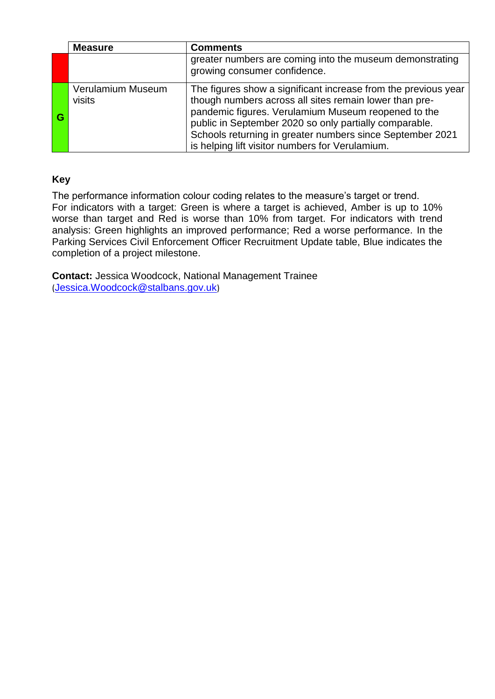|   | <b>Measure</b>              | <b>Comments</b>                                                                                                                                                                                                                                                                                                                                           |
|---|-----------------------------|-----------------------------------------------------------------------------------------------------------------------------------------------------------------------------------------------------------------------------------------------------------------------------------------------------------------------------------------------------------|
|   |                             | greater numbers are coming into the museum demonstrating<br>growing consumer confidence.                                                                                                                                                                                                                                                                  |
| G | Verulamium Museum<br>visits | The figures show a significant increase from the previous year<br>though numbers across all sites remain lower than pre-<br>pandemic figures. Verulamium Museum reopened to the<br>public in September 2020 so only partially comparable.<br>Schools returning in greater numbers since September 2021<br>is helping lift visitor numbers for Verulamium. |

#### **Key**

The performance information colour coding relates to the measure's target or trend. For indicators with a target: Green is where a target is achieved, Amber is up to 10% worse than target and Red is worse than 10% from target. For indicators with trend analysis: Green highlights an improved performance; Red a worse performance. In the Parking Services Civil Enforcement Officer Recruitment Update table, Blue indicates the completion of a project milestone.

**Contact:** Jessica Woodcock, National Management Trainee (Jessica.Woodcock@stalbans.gov.uk)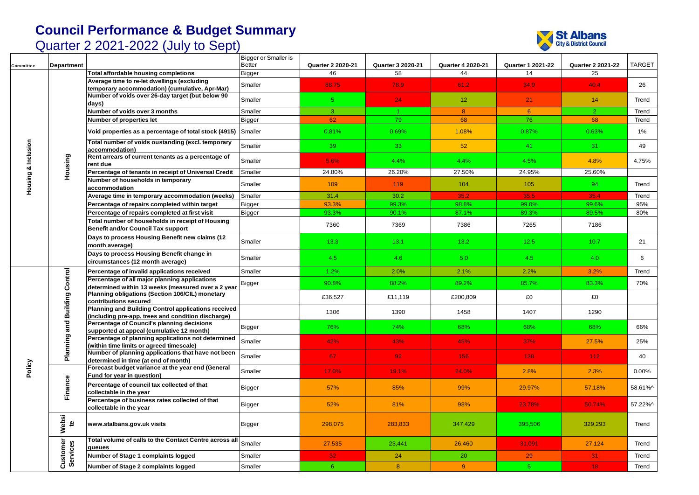

| Committee           | Department                           |                                                                                                           | Bigger or Smaller is<br><b>Better</b> | <b>Quarter 2 2020-21</b> | Quarter 3 2020-21 | <b>Quarter 4 2020-21</b> | <b>Quarter 1 2021-22</b> | <b>Quarter 2 2021-22</b> | <b>TARGET</b> |
|---------------------|--------------------------------------|-----------------------------------------------------------------------------------------------------------|---------------------------------------|--------------------------|-------------------|--------------------------|--------------------------|--------------------------|---------------|
|                     |                                      | Total affordable housing completions                                                                      | <b>Bigger</b>                         | 46                       | 58                | 44                       | 14                       | 25                       |               |
|                     |                                      | Average time to re-let dwellings (excluding<br>temporary accommodation) (cumulative, Apr-Mar)             | Smaller                               | 88.75                    | 78.9              | 61.2                     | 34.9                     | 40.4                     | 26            |
|                     |                                      | Number of voids over 26-day target (but below 90<br>days)                                                 | Smaller                               | 5 <sup>1</sup>           | 24                | 12 <sub>2</sub>          | 21                       | 14                       | Trend         |
|                     |                                      | Number of voids over 3 months                                                                             | Smaller                               | $\overline{3}$           | $1 -$             | 8 <sup>°</sup>           | $6^{\circ}$              | $\overline{2}$           | Trend         |
|                     |                                      | Number of properties let                                                                                  | <b>Bigger</b>                         | 62                       | 79                | 68                       | 76                       | 68                       | Trend         |
|                     |                                      | Void properties as a percentage of total stock (4915) Smaller                                             |                                       | 0.81%                    | 0.69%             | 1.08%                    | 0.87%                    | 0.63%                    | $1\%$         |
|                     |                                      | Total number of voids oustanding (excl. temporary<br>accommodation)                                       | Smaller                               | 39                       | 33                | 52                       | 41                       | 31                       | 49            |
|                     | Housing                              | Rent arrears of current tenants as a percentage of<br>rent due                                            | Smaller                               | 5.6%                     | 4.4%              | 4.4%                     | 4.5%                     | 4.8%                     | 4.75%         |
|                     |                                      | Percentage of tenants in receipt of Universal Credit                                                      | Smaller                               | 24.80%                   | 26.20%            | 27.50%                   | 24.95%                   | 25.60%                   |               |
| Housing & Inclusion |                                      | Number of households in temporary<br>accommodation                                                        | Smaller                               | 109                      | 119               | 104                      | 105                      | 94                       | Trend         |
|                     |                                      | Average time in temporary accommodation (weeks)                                                           | Smaller                               | 31.4                     | 30.2              | 35.2                     | 35.5                     | 35.4                     | Trend         |
|                     |                                      | Percentage of repairs completed within target                                                             | <b>Bigger</b>                         | 93.3%                    | 99.3%             | 98.8%                    | 99.0%                    | 99.6%                    | 95%           |
|                     |                                      | Percentage of repairs completed at first visit                                                            | <b>Bigger</b>                         | 93.3%                    | 90.1%             | 87.1%                    | 89.3%                    | 89.5%                    | 80%           |
|                     |                                      | Total number of households in receipt of Housing<br><b>Benefit and/or Council Tax support</b>             |                                       | 7360                     | 7369              | 7386                     | 7265                     | 7186                     |               |
|                     |                                      | Days to process Housing Benefit new claims (12<br>month average)                                          | Smaller                               | 13.3                     | 13.1              | 13.2                     | 12.5                     | 10.7                     | 21            |
|                     |                                      | Days to process Housing Benefit change in<br>circumstances (12 month average)                             | Smaller                               | 4.5                      | 4.6               | 5.0                      | 4.5                      | 4.0                      | 6             |
|                     | <b>Planning and Building Control</b> | Percentage of invalid applications received                                                               | Smaller                               | 1.2%                     | 2.0%              | 2.1%                     | 2.2%                     | 3.2%                     | Trend         |
|                     |                                      | Percentage of all major planning applications<br>determined within 13 weeks (measured over a 2 vear       | <b>Bigger</b>                         | 90.8%                    | 88.2%             | 89.2%                    | 85.7%                    | 83.3%                    | 70%           |
|                     |                                      | Planning obligations (Section 106/CIL) monetary<br>contributions secured                                  |                                       | £36,527                  | £11,119           | £200,809                 | £0                       | £0                       |               |
|                     |                                      | Planning and Building Control applications received<br>(including pre-app, trees and condition discharge) |                                       | 1306                     | 1390              | 1458                     | 1407                     | 1290                     |               |
|                     |                                      | Percentage of Council's planning decisions<br>supported at appeal (cumulative 12 month)                   | <b>Bigger</b>                         | 76%                      | 74%               | 68%                      | 68%                      | 68%                      | 66%           |
|                     |                                      | Percentage of planning applications not determined<br>(within time limits or agreed timescale)            | Smaller                               | 42%                      | 43%               | 45%                      | 37%                      | 27.5%                    | 25%           |
|                     |                                      | Number of planning applications that have not been<br>determined in time (at end of month)                | Smaller                               | 67                       | 92 <sub>1</sub>   | 156                      | 138                      | 112 <sub>1</sub>         | 40            |
| Policy              |                                      | Forecast budget variance at the year end (General<br>Fund for year in question)                           | Smaller                               | 17.0%                    | 19.1%             | 24.0%                    | 2.8%                     | 2.3%                     | 0.00%         |
|                     | Finance                              | Percentage of council tax collected of that<br>collectable in the year                                    | <b>Bigger</b>                         | 57%                      | 85%               | 99%                      | 29.97%                   | 57.18%                   | 58.61%^       |
|                     |                                      | Percentage of business rates collected of that<br>collectable in the year                                 | Bigger                                | 52%                      | 81%               | 98%                      | 23.78%                   | 50.74%                   | 57.22%^       |
|                     | Websi<br>ഉ                           | www.stalbans.gov.uk visits                                                                                | Bigger                                | 298,075                  | 283.833           | 347.429                  | 395.506                  | 329,293                  | Trend         |
|                     | Customer<br>Services                 | Total volume of calls to the Contact Centre across all<br>queues                                          | Smaller                               | 27,535                   | 23,441            | 26,460                   | 31,091                   | 27,124                   | Trend         |
|                     |                                      | Number of Stage 1 complaints logged                                                                       | Smaller                               | 32 <sub>1</sub>          | 24                | 20                       | 29                       | 31 <sub>2</sub>          | Trend         |
|                     |                                      | Number of Stage 2 complaints logged                                                                       | Smaller                               | 6 <sup>°</sup>           | 8 <sup>°</sup>    | 9                        | 5 <sup>1</sup>           | 18                       | Trend         |
|                     |                                      |                                                                                                           |                                       |                          |                   |                          |                          |                          |               |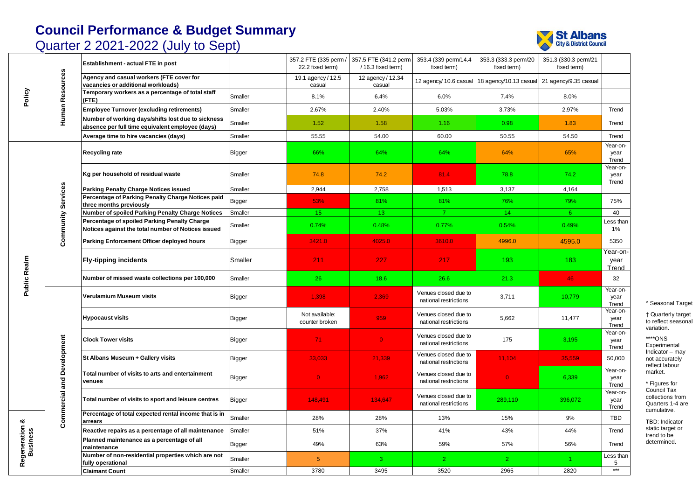



┑

| Policy                     |                                   | Establishment - actual FTE in post                                                                     |               | 22.2 fixed term)                 | 357.2 FTE (335 perm / 357.5 FTE (341.2 perm<br>/ 16.3 fixed term) | 353.4 (339 perm/14.4)<br>fixed term)          | 353.3 (333.3 perm/20<br>fixed term)          | 351.3 (330.3 perm/21<br>fixed term) |                           |
|----------------------------|-----------------------------------|--------------------------------------------------------------------------------------------------------|---------------|----------------------------------|-------------------------------------------------------------------|-----------------------------------------------|----------------------------------------------|-------------------------------------|---------------------------|
|                            | <b>Human Resources</b>            | Agency and casual workers (FTE cover for<br>vacancies or additional workloads)                         |               | 19.1 agency / 12.5<br>casual     | 12 agency / 12.34<br>casual                                       | 12 agency/ 10.6 casual                        | 18 agency/10.13 casual 21 agency/9.35 casual |                                     |                           |
|                            |                                   | Temporary workers as a percentage of total staff<br>(FTE)                                              | Smaller       | 8.1%                             | 6.4%                                                              | 6.0%                                          | 7.4%                                         | 8.0%                                |                           |
|                            |                                   | <b>Employee Turnover (excluding retirements)</b>                                                       | Smaller       | 2.67%                            | 2.40%                                                             | 5.03%                                         | 3.73%                                        | 2.97%                               | Trend                     |
|                            |                                   | Number of working days/shifts lost due to sickness<br>absence per full time equivalent employee (days) | Smaller       | 1.52                             | 1.58                                                              | 1.16                                          | 0.98                                         | 1.83                                | Trend                     |
|                            |                                   | Average time to hire vacancies (days)                                                                  | Smaller       | 55.55                            | 54.00                                                             | 60.00                                         | 50.55                                        | 54.50                               | Trend                     |
|                            |                                   | <b>Recycling rate</b>                                                                                  | Bigger        | 66%                              | 64%                                                               | 64%                                           | 64%                                          | 65%                                 | Year-on-<br>year<br>Trend |
|                            |                                   | Kg per household of residual waste                                                                     | Smaller       | 74.8                             | 74.2                                                              | 81.4                                          | 78.8                                         | 74.2                                | Year-on-<br>year<br>Trend |
|                            |                                   | Parking Penalty Charge Notices issued                                                                  | Smaller       | 2,944                            | 2,758                                                             | 1,513                                         | 3,137                                        | 4,164                               |                           |
|                            |                                   | Percentage of Parking Penalty Charge Notices paid<br>three months previously                           | <b>Bigger</b> | 53%                              | 81%                                                               | 81%                                           | 76%                                          | 79%                                 | 75%                       |
|                            |                                   | Number of spoiled Parking Penalty Charge Notices                                                       | Smaller       | 15 <sub>1</sub>                  | 13                                                                | $\overline{7}$                                | 14                                           | 6 <sup>°</sup>                      | 40                        |
|                            | <b>Community Services</b>         | Percentage of spoiled Parking Penalty Charge<br>Notices against the total number of Notices issued     | Smaller       | 0.74%                            | 0.48%                                                             | 0.77%                                         | 0.54%                                        | 0.49%                               | Less than<br>1%           |
|                            |                                   | Parking Enforcement Officer deployed hours                                                             | Bigger        | 3421.0                           | 4025.0                                                            | 3610.0                                        | 4996.0                                       | 4595.0                              | 5350                      |
|                            |                                   | <b>Fly-tipping incidents</b>                                                                           | Smaller       | 211                              | 227                                                               | 217                                           | 193                                          | 183                                 | Year-on-<br>year<br>Trend |
| Public Realm               |                                   | Number of missed waste collections per 100,000                                                         | Smaller       | 26                               | 18.6                                                              | 26.6                                          | 21.3                                         | 46                                  | 32                        |
|                            |                                   | Verulamium Museum visits                                                                               | Bigger        | 1,398                            | 2,369                                                             | Venues closed due to<br>national restrictions | 3,711                                        | 10,779                              | Year-on-<br>year<br>Trend |
|                            |                                   | <b>Hypocaust visits</b>                                                                                | Bigger        | Not available:<br>counter broken | 959                                                               | Venues closed due to<br>national restrictions | 5,662                                        | 11,477                              | Year-on-<br>year<br>Trend |
|                            |                                   | <b>Clock Tower visits</b>                                                                              | Bigger        | 71                               | $\overline{0}$                                                    | Venues closed due to<br>national restrictions | 175                                          | 3,195                               | Year-on-<br>year<br>Trend |
|                            |                                   | St Albans Museum + Gallery visits                                                                      | <b>Bigger</b> | 33,033                           | 21,339                                                            | Venues closed due to<br>national restrictions | 11,104                                       | 35,559                              | 50,000                    |
|                            | <b>Commercial and Development</b> | Total number of visits to arts and entertainment<br>venues                                             | <b>Bigger</b> | $\overline{0}$                   | 1,962                                                             | Venues closed due to<br>national restrictions | $\overline{0}$                               | 6,339                               | Year-on-<br>year<br>Trend |
|                            |                                   | Total number of visits to sport and leisure centres                                                    | <b>Bigger</b> | 148,491                          | 134,647                                                           | Venues closed due to<br>national restrictions | 289,110                                      | 396,072                             | Year-on-<br>year<br>Trend |
|                            |                                   | Percentage of total expected rental income that is in<br>arrears                                       | Smaller       | 28%                              | 28%                                                               | 13%                                           | 15%                                          | 9%                                  | <b>TBD</b>                |
|                            |                                   | Reactive repairs as a percentage of all maintenance                                                    | Smaller       | 51%                              | 37%                                                               | 41%                                           | 43%                                          | 44%                                 | Trend                     |
| Regeneration &<br>Business |                                   | Planned maintenance as a percentage of all<br>maintenance                                              | <b>Bigger</b> | 49%                              | 63%                                                               | 59%                                           | 57%                                          | 56%                                 | Trend                     |
|                            |                                   | Number of non-residential properties which are not<br>fully operational                                | Smaller       | $\sqrt{5}$                       | 3                                                                 | 2 <sup>1</sup>                                | $\overline{2}$                               |                                     | Less than<br>5            |
|                            |                                   | <b>Claimant Count</b>                                                                                  | Smaller       | 3780                             | 3495                                                              | 3520                                          | 2965                                         | 2820                                | $***$                     |

^ Seasonal Target

† Quarterly target to reflect seasonal variation. \*\*\*\*ONS Experimental Indicator – may not accurately reflect labour market.

\* Figures for Council Tax collections from Quarters 1-4 are cumulative.

TBD: Indicator static target or trend to be determined.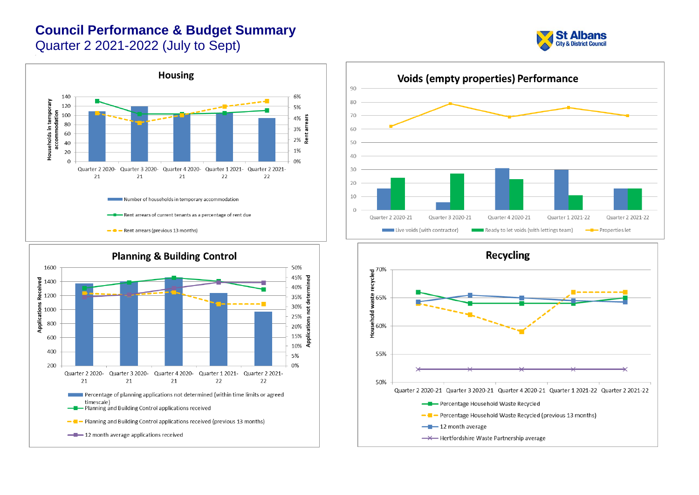







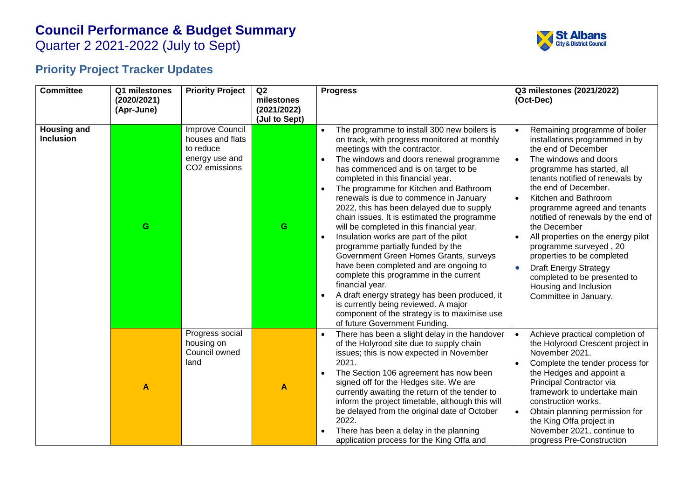Quarter 2 2021-2022 (July to Sept)



## **Priority Project Tracker Updates**

| <b>Committee</b>                       | Q1 milestones             | <b>Priority Project</b>                                                             | Q2                        | <b>Progress</b>                                                                                                                                                                                                                                                                                                                                                                                                                                                                                                                                                                                                                                                                                                                                                                                                                                                                                                                                              | Q3 milestones (2021/2022)                                                                                                                                                                                                                                                                                                                                                                                                                                                                                                                                        |
|----------------------------------------|---------------------------|-------------------------------------------------------------------------------------|---------------------------|--------------------------------------------------------------------------------------------------------------------------------------------------------------------------------------------------------------------------------------------------------------------------------------------------------------------------------------------------------------------------------------------------------------------------------------------------------------------------------------------------------------------------------------------------------------------------------------------------------------------------------------------------------------------------------------------------------------------------------------------------------------------------------------------------------------------------------------------------------------------------------------------------------------------------------------------------------------|------------------------------------------------------------------------------------------------------------------------------------------------------------------------------------------------------------------------------------------------------------------------------------------------------------------------------------------------------------------------------------------------------------------------------------------------------------------------------------------------------------------------------------------------------------------|
|                                        | (2020/2021)<br>(Apr-June) |                                                                                     | milestones<br>(2021/2022) |                                                                                                                                                                                                                                                                                                                                                                                                                                                                                                                                                                                                                                                                                                                                                                                                                                                                                                                                                              | (Oct-Dec)                                                                                                                                                                                                                                                                                                                                                                                                                                                                                                                                                        |
|                                        |                           |                                                                                     | (Jul to Sept)             |                                                                                                                                                                                                                                                                                                                                                                                                                                                                                                                                                                                                                                                                                                                                                                                                                                                                                                                                                              |                                                                                                                                                                                                                                                                                                                                                                                                                                                                                                                                                                  |
| <b>Housing and</b><br><b>Inclusion</b> | G                         | Improve Council<br>houses and flats<br>to reduce<br>energy use and<br>CO2 emissions | G                         | The programme to install 300 new boilers is<br>$\bullet$<br>on track, with progress monitored at monthly<br>meetings with the contractor.<br>The windows and doors renewal programme<br>$\bullet$<br>has commenced and is on target to be<br>completed in this financial year.<br>$\bullet$<br>The programme for Kitchen and Bathroom<br>renewals is due to commence in January<br>2022, this has been delayed due to supply<br>chain issues. It is estimated the programme<br>will be completed in this financial year.<br>Insulation works are part of the pilot<br>$\bullet$<br>programme partially funded by the<br>Government Green Homes Grants, surveys<br>have been completed and are ongoing to<br>complete this programme in the current<br>financial year.<br>$\bullet$<br>A draft energy strategy has been produced, it<br>is currently being reviewed. A major<br>component of the strategy is to maximise use<br>of future Government Funding. | Remaining programme of boiler<br>installations programmed in by<br>the end of December<br>The windows and doors<br>$\bullet$<br>programme has started, all<br>tenants notified of renewals by<br>the end of December.<br>Kitchen and Bathroom<br>$\bullet$<br>programme agreed and tenants<br>notified of renewals by the end of<br>the December<br>All properties on the energy pilot<br>programme surveyed, 20<br>properties to be completed<br><b>Draft Energy Strategy</b><br>completed to be presented to<br>Housing and Inclusion<br>Committee in January. |
|                                        | A                         | Progress social<br>housing on<br>Council owned<br>land                              | A                         | There has been a slight delay in the handover<br>$\bullet$<br>of the Holyrood site due to supply chain<br>issues; this is now expected in November<br>2021.<br>The Section 106 agreement has now been<br>$\bullet$<br>signed off for the Hedges site. We are<br>currently awaiting the return of the tender to<br>inform the project timetable, although this will<br>be delayed from the original date of October<br>2022.<br>There has been a delay in the planning<br>application process for the King Offa and                                                                                                                                                                                                                                                                                                                                                                                                                                           | Achieve practical completion of<br>the Holyrood Crescent project in<br>November 2021.<br>Complete the tender process for<br>the Hedges and appoint a<br>Principal Contractor via<br>framework to undertake main<br>construction works.<br>Obtain planning permission for<br>the King Offa project in<br>November 2021, continue to<br>progress Pre-Construction                                                                                                                                                                                                  |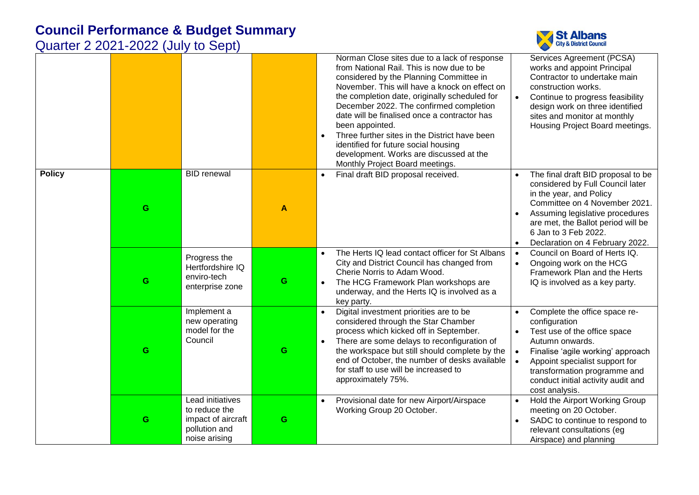

|               |   |                                                                                           |   | Norman Close sites due to a lack of response<br>from National Rail. This is now due to be<br>considered by the Planning Committee in<br>November. This will have a knock on effect on<br>the completion date, originally scheduled for<br>December 2022. The confirmed completion<br>date will be finalised once a contractor has<br>been appointed.<br>Three further sites in the District have been<br>$\bullet$<br>identified for future social housing<br>development. Works are discussed at the<br>Monthly Project Board meetings. | Services Agreement (PCSA)<br>works and appoint Principal<br>Contractor to undertake main<br>construction works.<br>Continue to progress feasibility<br>$\bullet$<br>design work on three identified<br>sites and monitor at monthly<br>Housing Project Board meetings.                     |
|---------------|---|-------------------------------------------------------------------------------------------|---|------------------------------------------------------------------------------------------------------------------------------------------------------------------------------------------------------------------------------------------------------------------------------------------------------------------------------------------------------------------------------------------------------------------------------------------------------------------------------------------------------------------------------------------|--------------------------------------------------------------------------------------------------------------------------------------------------------------------------------------------------------------------------------------------------------------------------------------------|
| <b>Policy</b> | G | <b>BID</b> renewal                                                                        | A | Final draft BID proposal received.<br>$\bullet$                                                                                                                                                                                                                                                                                                                                                                                                                                                                                          | The final draft BID proposal to be<br>considered by Full Council later<br>in the year, and Policy<br>Committee on 4 November 2021.<br>Assuming legislative procedures<br>are met, the Ballot period will be<br>6 Jan to 3 Feb 2022.<br>Declaration on 4 February 2022.                     |
|               | G | Progress the<br>Hertfordshire IQ<br>enviro-tech<br>enterprise zone                        | G | The Herts IQ lead contact officer for St Albans<br>City and District Council has changed from<br>Cherie Norris to Adam Wood.<br>The HCG Framework Plan workshops are<br>underway, and the Herts IQ is involved as a<br>key party.                                                                                                                                                                                                                                                                                                        | Council on Board of Herts IQ.<br>$\bullet$<br>Ongoing work on the HCG<br>$\bullet$<br>Framework Plan and the Herts<br>IQ is involved as a key party.                                                                                                                                       |
|               | G | Implement a<br>new operating<br>model for the<br>Council                                  | G | Digital investment priorities are to be<br>$\bullet$<br>considered through the Star Chamber<br>process which kicked off in September.<br>There are some delays to reconfiguration of<br>$\bullet$<br>the workspace but still should complete by the<br>end of October, the number of desks available<br>for staff to use will be increased to<br>approximately 75%.                                                                                                                                                                      | Complete the office space re-<br>configuration<br>Test use of the office space<br>Autumn onwards.<br>Finalise 'agile working' approach<br>$\bullet$<br>Appoint specialist support for<br>$\bullet$<br>transformation programme and<br>conduct initial activity audit and<br>cost analysis. |
|               | G | Lead initiatives<br>to reduce the<br>impact of aircraft<br>pollution and<br>noise arising | G | Provisional date for new Airport/Airspace<br>$\bullet$<br>Working Group 20 October.                                                                                                                                                                                                                                                                                                                                                                                                                                                      | Hold the Airport Working Group<br>meeting on 20 October.<br>SADC to continue to respond to<br>relevant consultations (eg<br>Airspace) and planning                                                                                                                                         |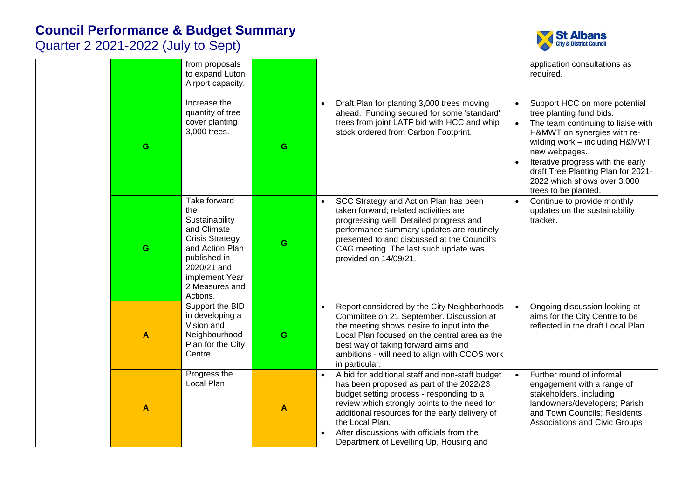

|   | from proposals<br>to expand Luton<br>Airport capacity.                                                                                                                           |   |                                                                                                                                                                                                                                                                                                                                                                                | application consultations as<br>required.                                                                                                                                                                                                                                                                                                     |
|---|----------------------------------------------------------------------------------------------------------------------------------------------------------------------------------|---|--------------------------------------------------------------------------------------------------------------------------------------------------------------------------------------------------------------------------------------------------------------------------------------------------------------------------------------------------------------------------------|-----------------------------------------------------------------------------------------------------------------------------------------------------------------------------------------------------------------------------------------------------------------------------------------------------------------------------------------------|
| G | Increase the<br>quantity of tree<br>cover planting<br>3,000 trees.                                                                                                               | G | Draft Plan for planting 3,000 trees moving<br>$\bullet$<br>ahead. Funding secured for some 'standard'<br>trees from joint LATF bid with HCC and whip<br>stock ordered from Carbon Footprint.                                                                                                                                                                                   | Support HCC on more potential<br>$\bullet$<br>tree planting fund bids.<br>The team continuing to liaise with<br>$\bullet$<br>H&MWT on synergies with re-<br>wilding work - including H&MWT<br>new webpages.<br>Iterative progress with the early<br>draft Tree Planting Plan for 2021-<br>2022 which shows over 3,000<br>trees to be planted. |
| G | Take forward<br>the<br>Sustainability<br>and Climate<br><b>Crisis Strategy</b><br>and Action Plan<br>published in<br>2020/21 and<br>implement Year<br>2 Measures and<br>Actions. | G | SCC Strategy and Action Plan has been<br>$\bullet$<br>taken forward; related activities are<br>progressing well. Detailed progress and<br>performance summary updates are routinely<br>presented to and discussed at the Council's<br>CAG meeting. The last such update was<br>provided on 14/09/21.                                                                           | Continue to provide monthly<br>$\bullet$<br>updates on the sustainability<br>tracker.                                                                                                                                                                                                                                                         |
| A | Support the BID<br>in developing a<br>Vision and<br>Neighbourhood<br>Plan for the City<br>Centre                                                                                 | G | Report considered by the City Neighborhoods<br>$\bullet$<br>Committee on 21 September. Discussion at<br>the meeting shows desire to input into the<br>Local Plan focused on the central area as the<br>best way of taking forward aims and<br>ambitions - will need to align with CCOS work<br>in particular.                                                                  | Ongoing discussion looking at<br>$\bullet$<br>aims for the City Centre to be<br>reflected in the draft Local Plan                                                                                                                                                                                                                             |
| A | Progress the<br>Local Plan                                                                                                                                                       | A | A bid for additional staff and non-staff budget<br>$\bullet$<br>has been proposed as part of the 2022/23<br>budget setting process - responding to a<br>review which strongly points to the need for<br>additional resources for the early delivery of<br>the Local Plan.<br>After discussions with officials from the<br>$\bullet$<br>Department of Levelling Up, Housing and | Further round of informal<br>$\bullet$<br>engagement with a range of<br>stakeholders, including<br>landowners/developers; Parish<br>and Town Councils; Residents<br><b>Associations and Civic Groups</b>                                                                                                                                      |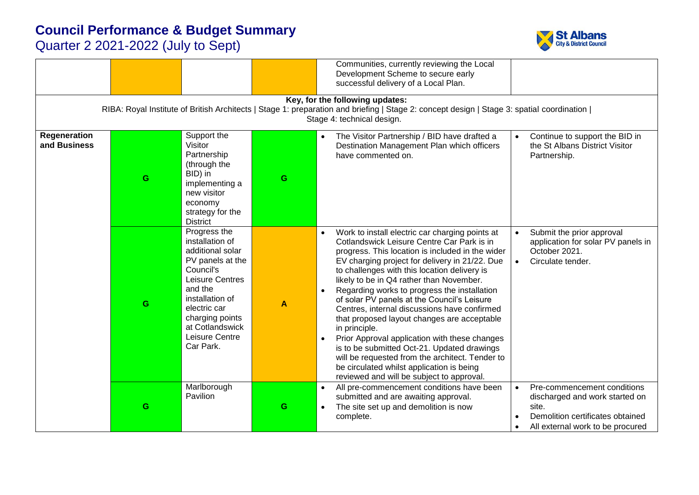

|                              |   |                                                                                                                                                                                                                            |   | Communities, currently reviewing the Local<br>Development Scheme to secure early<br>successful delivery of a Local Plan.<br>Key, for the following updates:                                                                                                                                                                                                                                                                                                                                                                                                                                                                                                                                                                                                                           |                                                                                                                                                                          |
|------------------------------|---|----------------------------------------------------------------------------------------------------------------------------------------------------------------------------------------------------------------------------|---|---------------------------------------------------------------------------------------------------------------------------------------------------------------------------------------------------------------------------------------------------------------------------------------------------------------------------------------------------------------------------------------------------------------------------------------------------------------------------------------------------------------------------------------------------------------------------------------------------------------------------------------------------------------------------------------------------------------------------------------------------------------------------------------|--------------------------------------------------------------------------------------------------------------------------------------------------------------------------|
|                              |   |                                                                                                                                                                                                                            |   | RIBA: Royal Institute of British Architects   Stage 1: preparation and briefing   Stage 2: concept design   Stage 3: spatial coordination  <br>Stage 4: technical design.                                                                                                                                                                                                                                                                                                                                                                                                                                                                                                                                                                                                             |                                                                                                                                                                          |
| Regeneration<br>and Business | G | Support the<br>Visitor<br>Partnership<br>(through the<br>BID) in<br>implementing a<br>new visitor<br>economy<br>strategy for the<br><b>District</b>                                                                        | G | The Visitor Partnership / BID have drafted a<br>$\bullet$<br>Destination Management Plan which officers<br>have commented on.                                                                                                                                                                                                                                                                                                                                                                                                                                                                                                                                                                                                                                                         | Continue to support the BID in<br>$\bullet$<br>the St Albans District Visitor<br>Partnership.                                                                            |
|                              | G | Progress the<br>installation of<br>additional solar<br>PV panels at the<br>Council's<br>Leisure Centres<br>and the<br>installation of<br>electric car<br>charging points<br>at Cotlandswick<br>Leisure Centre<br>Car Park. | A | Work to install electric car charging points at<br>$\bullet$<br>Cotlandswick Leisure Centre Car Park is in<br>progress. This location is included in the wider<br>EV charging project for delivery in 21/22. Due<br>to challenges with this location delivery is<br>likely to be in Q4 rather than November.<br>Regarding works to progress the installation<br>$\bullet$<br>of solar PV panels at the Council's Leisure<br>Centres, internal discussions have confirmed<br>that proposed layout changes are acceptable<br>in principle.<br>Prior Approval application with these changes<br>is to be submitted Oct-21. Updated drawings<br>will be requested from the architect. Tender to<br>be circulated whilst application is being<br>reviewed and will be subject to approval. | Submit the prior approval<br>application for solar PV panels in<br>October 2021.<br>$\bullet$<br>Circulate tender.                                                       |
|                              | G | Marlborough<br>Pavilion                                                                                                                                                                                                    | G | All pre-commencement conditions have been<br>$\bullet$<br>submitted and are awaiting approval.<br>The site set up and demolition is now<br>$\bullet$<br>complete.                                                                                                                                                                                                                                                                                                                                                                                                                                                                                                                                                                                                                     | Pre-commencement conditions<br>$\bullet$<br>discharged and work started on<br>site.<br>Demolition certificates obtained<br>$\bullet$<br>All external work to be procured |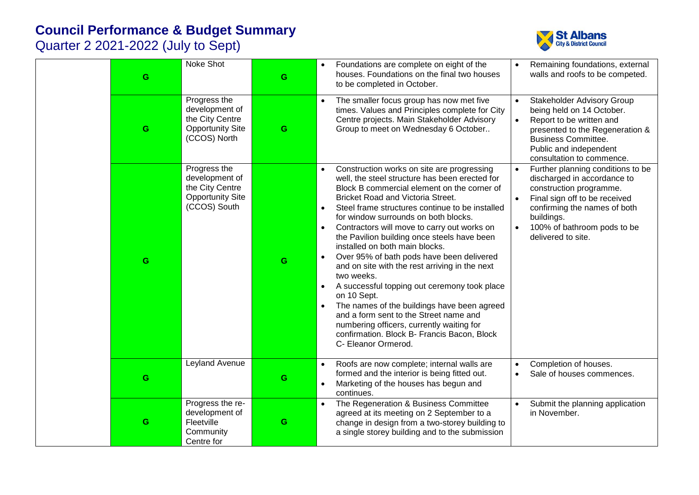

| G | Noke Shot                                                                                    | G | Foundations are complete on eight of the<br>houses. Foundations on the final two houses<br>to be completed in October.                                                                                                                                                                                                                                                                                                                                                                                                                                                                                                                                                                                                                                                                                                                                                            | Remaining foundations, external<br>walls and roofs to be competed.                                                                                                                                                                                                     |
|---|----------------------------------------------------------------------------------------------|---|-----------------------------------------------------------------------------------------------------------------------------------------------------------------------------------------------------------------------------------------------------------------------------------------------------------------------------------------------------------------------------------------------------------------------------------------------------------------------------------------------------------------------------------------------------------------------------------------------------------------------------------------------------------------------------------------------------------------------------------------------------------------------------------------------------------------------------------------------------------------------------------|------------------------------------------------------------------------------------------------------------------------------------------------------------------------------------------------------------------------------------------------------------------------|
| G | Progress the<br>development of<br>the City Centre<br><b>Opportunity Site</b><br>(CCOS) North | G | The smaller focus group has now met five<br>$\bullet$<br>times. Values and Principles complete for City<br>Centre projects. Main Stakeholder Advisory<br>Group to meet on Wednesday 6 October                                                                                                                                                                                                                                                                                                                                                                                                                                                                                                                                                                                                                                                                                     | <b>Stakeholder Advisory Group</b><br>$\bullet$<br>being held on 14 October.<br>Report to be written and<br>$\bullet$<br>presented to the Regeneration &<br><b>Business Committee.</b><br>Public and independent<br>consultation to commence.                           |
| G | Progress the<br>development of<br>the City Centre<br><b>Opportunity Site</b><br>(CCOS) South | G | Construction works on site are progressing<br>$\bullet$<br>well, the steel structure has been erected for<br>Block B commercial element on the corner of<br>Bricket Road and Victoria Street.<br>Steel frame structures continue to be installed<br>$\bullet$<br>for window surrounds on both blocks.<br>Contractors will move to carry out works on<br>$\bullet$<br>the Pavilion building once steels have been<br>installed on both main blocks.<br>Over 95% of bath pods have been delivered<br>$\bullet$<br>and on site with the rest arriving in the next<br>two weeks.<br>A successful topping out ceremony took place<br>$\bullet$<br>on 10 Sept.<br>The names of the buildings have been agreed<br>$\bullet$<br>and a form sent to the Street name and<br>numbering officers, currently waiting for<br>confirmation. Block B- Francis Bacon, Block<br>C- Eleanor Ormerod. | Further planning conditions to be<br>$\bullet$<br>discharged in accordance to<br>construction programme.<br>Final sign off to be received<br>$\bullet$<br>confirming the names of both<br>buildings.<br>100% of bathroom pods to be<br>$\bullet$<br>delivered to site. |
| G | Leyland Avenue                                                                               | G | Roofs are now complete; internal walls are<br>$\bullet$<br>formed and the interior is being fitted out.<br>Marketing of the houses has begun and<br>$\bullet$<br>continues.                                                                                                                                                                                                                                                                                                                                                                                                                                                                                                                                                                                                                                                                                                       | Completion of houses.<br>Sale of houses commences.                                                                                                                                                                                                                     |
| G | Progress the re-<br>development of<br>Fleetville<br>Community<br>Centre for                  | G | The Regeneration & Business Committee<br>$\bullet$<br>agreed at its meeting on 2 September to a<br>change in design from a two-storey building to<br>a single storey building and to the submission                                                                                                                                                                                                                                                                                                                                                                                                                                                                                                                                                                                                                                                                               | Submit the planning application<br>in November.                                                                                                                                                                                                                        |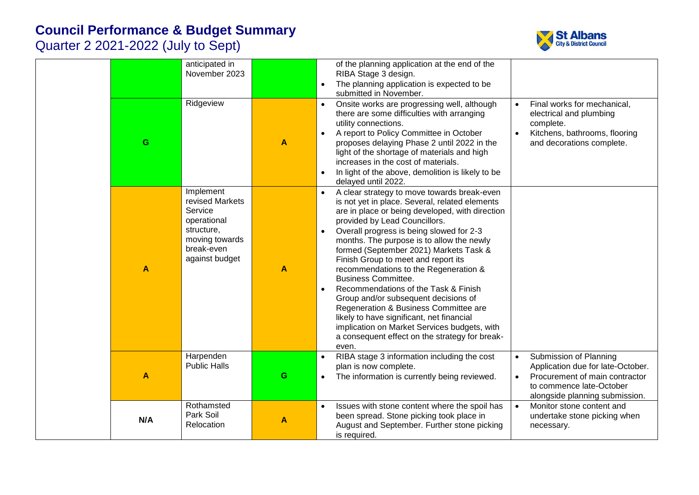



|                  | anticipated in<br>November 2023                                                                                        |   | of the planning application at the end of the<br>RIBA Stage 3 design.<br>The planning application is expected to be<br>$\bullet$<br>submitted in November.                                                                                                                                                                                                                                                                                                                                                                                                                                                                                                                                                          |                                                                                                                                                                                       |
|------------------|------------------------------------------------------------------------------------------------------------------------|---|---------------------------------------------------------------------------------------------------------------------------------------------------------------------------------------------------------------------------------------------------------------------------------------------------------------------------------------------------------------------------------------------------------------------------------------------------------------------------------------------------------------------------------------------------------------------------------------------------------------------------------------------------------------------------------------------------------------------|---------------------------------------------------------------------------------------------------------------------------------------------------------------------------------------|
| G                | Ridgeview                                                                                                              | A | Onsite works are progressing well, although<br>there are some difficulties with arranging<br>utility connections.<br>A report to Policy Committee in October<br>proposes delaying Phase 2 until 2022 in the<br>light of the shortage of materials and high<br>increases in the cost of materials.<br>In light of the above, demolition is likely to be<br>delayed until 2022.                                                                                                                                                                                                                                                                                                                                       | Final works for mechanical,<br>$\bullet$<br>electrical and plumbing<br>complete.<br>Kitchens, bathrooms, flooring<br>and decorations complete.                                        |
| $\blacktriangle$ | Implement<br>revised Markets<br>Service<br>operational<br>structure,<br>moving towards<br>break-even<br>against budget | A | A clear strategy to move towards break-even<br>is not yet in place. Several, related elements<br>are in place or being developed, with direction<br>provided by Lead Councillors.<br>Overall progress is being slowed for 2-3<br>months. The purpose is to allow the newly<br>formed (September 2021) Markets Task &<br>Finish Group to meet and report its<br>recommendations to the Regeneration &<br><b>Business Committee.</b><br>Recommendations of the Task & Finish<br>Group and/or subsequent decisions of<br>Regeneration & Business Committee are<br>likely to have significant, net financial<br>implication on Market Services budgets, with<br>a consequent effect on the strategy for break-<br>even. |                                                                                                                                                                                       |
| A                | Harpenden<br><b>Public Halls</b>                                                                                       | G | RIBA stage 3 information including the cost<br>plan is now complete.<br>The information is currently being reviewed.<br>$\bullet$                                                                                                                                                                                                                                                                                                                                                                                                                                                                                                                                                                                   | Submission of Planning<br>$\bullet$<br>Application due for late-October.<br>Procurement of main contractor<br>$\bullet$<br>to commence late-October<br>alongside planning submission. |
| N/A              | Rothamsted<br>Park Soil<br>Relocation                                                                                  | A | Issues with stone content where the spoil has<br>$\bullet$<br>been spread. Stone picking took place in<br>August and September. Further stone picking<br>is required.                                                                                                                                                                                                                                                                                                                                                                                                                                                                                                                                               | Monitor stone content and<br>$\bullet$<br>undertake stone picking when<br>necessary.                                                                                                  |